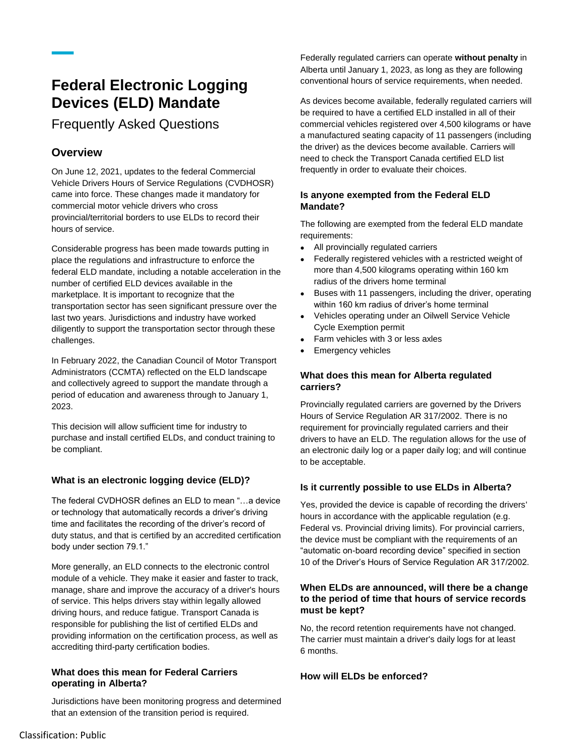# **Federal Electronic Logging Devices (ELD) Mandate**

## Frequently Asked Questions

### **Overview**

On June 12, 2021, updates to the federal Commercial Vehicle Drivers Hours of Service Regulations (CVDHOSR) came into force. These changes made it mandatory for commercial motor vehicle drivers who cross provincial/territorial borders to use ELDs to record their hours of service.

Considerable progress has been made towards putting in place the regulations and infrastructure to enforce the federal ELD mandate, including a notable acceleration in the number of certified ELD devices available in the marketplace. It is important to recognize that the transportation sector has seen significant pressure over the last two years. Jurisdictions and industry have worked diligently to support the transportation sector through these challenges.

In February 2022, the Canadian Council of Motor Transport Administrators (CCMTA) reflected on the ELD landscape and collectively agreed to support the mandate through a period of education and awareness through to January 1, 2023.

This decision will allow sufficient time for industry to purchase and install certified ELDs, and conduct training to be compliant.

#### **What is an electronic logging device (ELD)?**

The federal CVDHOSR defines an ELD to mean "…a device or technology that automatically records a driver's driving time and facilitates the recording of the driver's record of duty status, and that is certified by an accredited certification body under section 79.1."

More generally, an ELD connects to the electronic control module of a vehicle. They make it easier and faster to track, manage, share and improve the accuracy of a driver's hours of service. This helps drivers stay within legally allowed driving hours, and reduce fatigue. Transport Canada is responsible for publishing the list of certified ELDs and providing information on the certification process, as well as accrediting third-party certification bodies.

#### **What does this mean for Federal Carriers operating in Alberta?**

Jurisdictions have been monitoring progress and determined that an extension of the transition period is required.

Federally regulated carriers can operate **without penalty** in Alberta until January 1, 2023, as long as they are following conventional hours of service requirements, when needed.

As devices become available, federally regulated carriers will be required to have a certified ELD installed in all of their commercial vehicles registered over 4,500 kilograms or have a manufactured seating capacity of 11 passengers (including the driver) as the devices become available. Carriers will need to check the Transport Canada certified ELD list frequently in order to evaluate their choices.

#### **Is anyone exempted from the Federal ELD Mandate?**

The following are exempted from the federal ELD mandate requirements:

- All provincially regulated carriers
- Federally registered vehicles with a restricted weight of more than 4,500 kilograms operating within 160 km radius of the drivers home terminal
- Buses with 11 passengers, including the driver, operating within 160 km radius of driver's home terminal
- Vehicles operating under an Oilwell Service Vehicle Cycle Exemption permit
- Farm vehicles with 3 or less axles
- Emergency vehicles

#### **What does this mean for Alberta regulated carriers?**

Provincially regulated carriers are governed by the Drivers Hours of Service Regulation AR 317/2002. There is no requirement for provincially regulated carriers and their drivers to have an ELD. The regulation allows for the use of an electronic daily log or a paper daily log; and will continue to be acceptable.

#### **Is it currently possible to use ELDs in Alberta?**

Yes, provided the device is capable of recording the drivers' hours in accordance with the applicable regulation (e.g. Federal vs. Provincial driving limits). For provincial carriers, the device must be compliant with the requirements of an "automatic on-board recording device" specified in section 10 of the Driver's Hours of Service Regulation AR 317/2002.

#### **When ELDs are announced, will there be a change to the period of time that hours of service records must be kept?**

No, the record retention requirements have not changed. The carrier must maintain a driver's daily logs for at least 6 months.

#### **How will ELDs be enforced?**